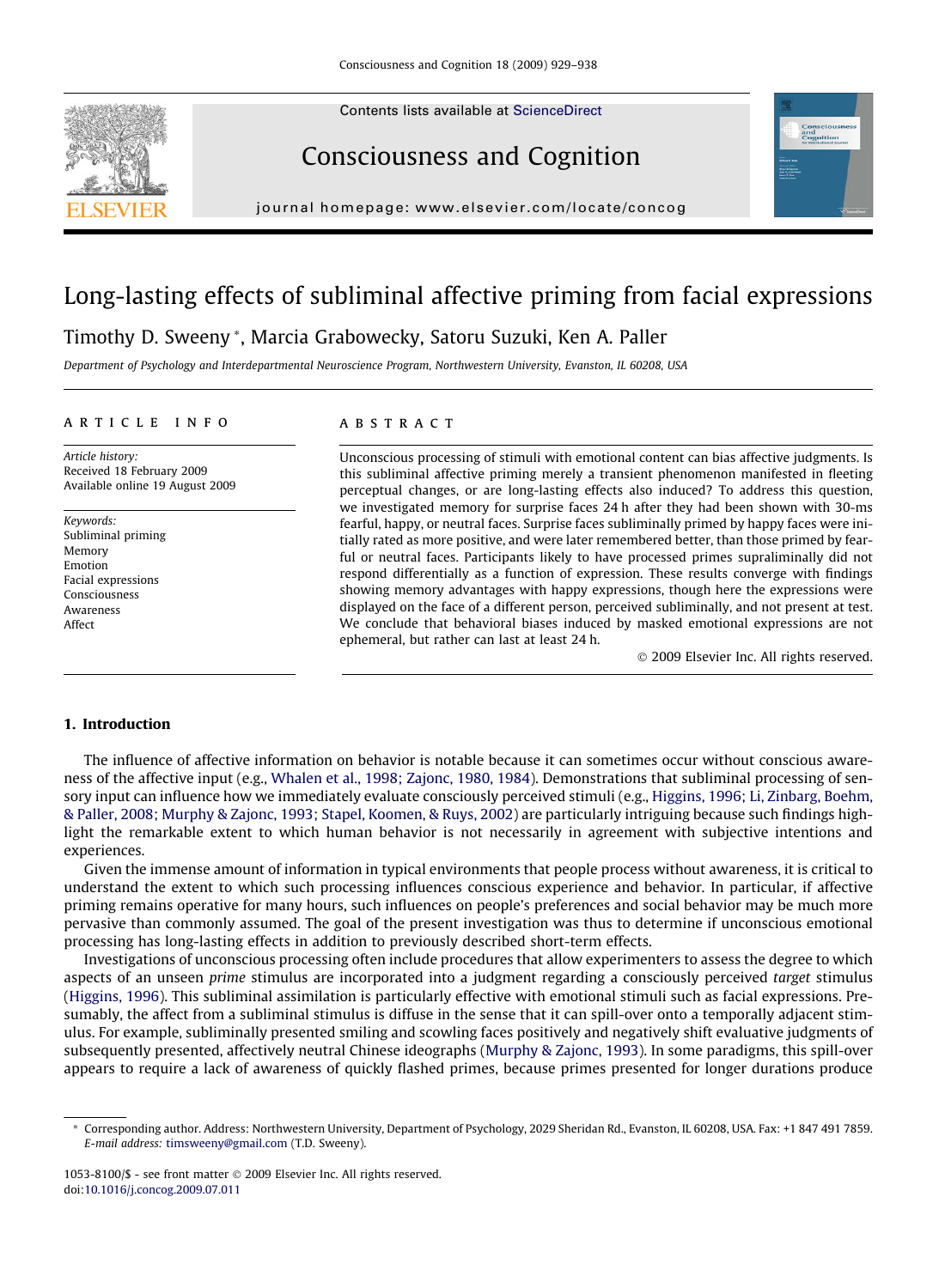Contents lists available at [ScienceDirect](http://www.sciencedirect.com/science/journal/10538100)





# Consciousness and Cognition

journal homepage: [www.elsevier.com/locate/concog](http://www.elsevier.com/locate/concog)

# Long-lasting effects of subliminal affective priming from facial expressions

# Timothy D. Sweeny \*, Marcia Grabowecky, Satoru Suzuki, Ken A. Paller

Department of Psychology and Interdepartmental Neuroscience Program, Northwestern University, Evanston, IL 60208, USA

## article info

Article history: Received 18 February 2009 Available online 19 August 2009

Keywords: Subliminal priming Memory Emotion Facial expressions Consciousness Awareness Affect

# **ABSTRACT**

Unconscious processing of stimuli with emotional content can bias affective judgments. Is this subliminal affective priming merely a transient phenomenon manifested in fleeting perceptual changes, or are long-lasting effects also induced? To address this question, we investigated memory for surprise faces 24 h after they had been shown with 30-ms fearful, happy, or neutral faces. Surprise faces subliminally primed by happy faces were initially rated as more positive, and were later remembered better, than those primed by fearful or neutral faces. Participants likely to have processed primes supraliminally did not respond differentially as a function of expression. These results converge with findings showing memory advantages with happy expressions, though here the expressions were displayed on the face of a different person, perceived subliminally, and not present at test. We conclude that behavioral biases induced by masked emotional expressions are not ephemeral, but rather can last at least 24 h.

- 2009 Elsevier Inc. All rights reserved.

# 1. Introduction

The influence of affective information on behavior is notable because it can sometimes occur without conscious awareness of the affective input (e.g., [Whalen et al., 1998; Zajonc, 1980, 1984\)](#page-9-0). Demonstrations that subliminal processing of sensory input can influence how we immediately evaluate consciously perceived stimuli (e.g., [Higgins, 1996; Li, Zinbarg, Boehm,](#page-9-0) [& Paller, 2008; Murphy & Zajonc, 1993; Stapel, Koomen, & Ruys, 2002\)](#page-9-0) are particularly intriguing because such findings highlight the remarkable extent to which human behavior is not necessarily in agreement with subjective intentions and experiences.

Given the immense amount of information in typical environments that people process without awareness, it is critical to understand the extent to which such processing influences conscious experience and behavior. In particular, if affective priming remains operative for many hours, such influences on people's preferences and social behavior may be much more pervasive than commonly assumed. The goal of the present investigation was thus to determine if unconscious emotional processing has long-lasting effects in addition to previously described short-term effects.

Investigations of unconscious processing often include procedures that allow experimenters to assess the degree to which aspects of an unseen prime stimulus are incorporated into a judgment regarding a consciously perceived target stimulus ([Higgins, 1996\)](#page-9-0). This subliminal assimilation is particularly effective with emotional stimuli such as facial expressions. Presumably, the affect from a subliminal stimulus is diffuse in the sense that it can spill-over onto a temporally adjacent stimulus. For example, subliminally presented smiling and scowling faces positively and negatively shift evaluative judgments of subsequently presented, affectively neutral Chinese ideographs ([Murphy & Zajonc, 1993](#page-9-0)). In some paradigms, this spill-over appears to require a lack of awareness of quickly flashed primes, because primes presented for longer durations produce

<sup>\*</sup> Corresponding author. Address: Northwestern University, Department of Psychology, 2029 Sheridan Rd., Evanston, IL 60208, USA. Fax: +1 847 491 7859. E-mail address: [timsweeny@gmail.com](mailto:timsweeny@gmail.com) (T.D. Sweeny).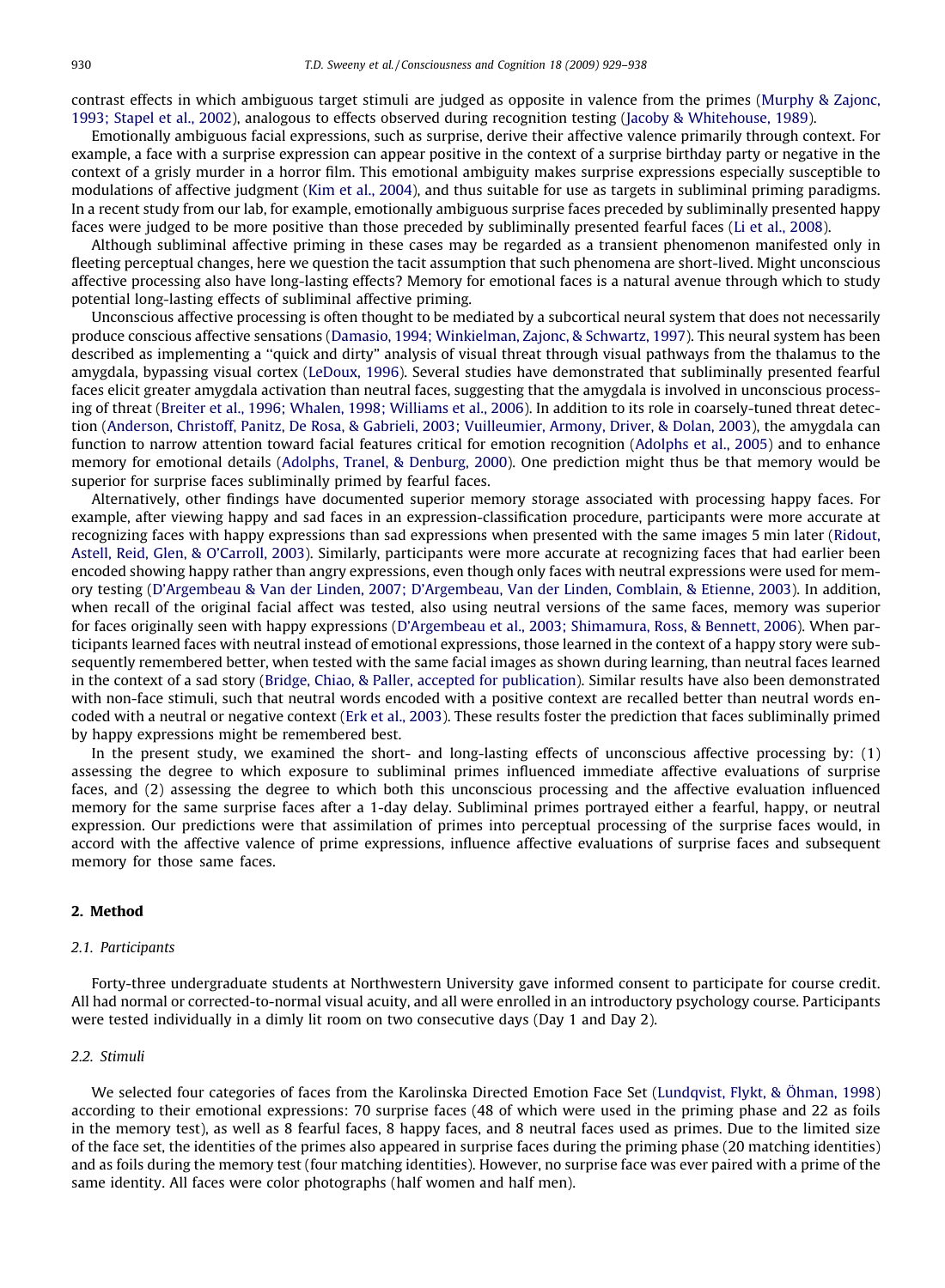contrast effects in which ambiguous target stimuli are judged as opposite in valence from the primes ([Murphy & Zajonc,](#page-9-0) [1993; Stapel et al., 2002\)](#page-9-0), analogous to effects observed during recognition testing [\(Jacoby & Whitehouse, 1989\)](#page-9-0).

Emotionally ambiguous facial expressions, such as surprise, derive their affective valence primarily through context. For example, a face with a surprise expression can appear positive in the context of a surprise birthday party or negative in the context of a grisly murder in a horror film. This emotional ambiguity makes surprise expressions especially susceptible to modulations of affective judgment ([Kim et al., 2004](#page-9-0)), and thus suitable for use as targets in subliminal priming paradigms. In a recent study from our lab, for example, emotionally ambiguous surprise faces preceded by subliminally presented happy faces were judged to be more positive than those preceded by subliminally presented fearful faces ([Li et al., 2008](#page-9-0)).

Although subliminal affective priming in these cases may be regarded as a transient phenomenon manifested only in fleeting perceptual changes, here we question the tacit assumption that such phenomena are short-lived. Might unconscious affective processing also have long-lasting effects? Memory for emotional faces is a natural avenue through which to study potential long-lasting effects of subliminal affective priming.

Unconscious affective processing is often thought to be mediated by a subcortical neural system that does not necessarily produce conscious affective sensations ([Damasio, 1994; Winkielman, Zajonc, & Schwartz, 1997](#page-9-0)). This neural system has been described as implementing a ''quick and dirty" analysis of visual threat through visual pathways from the thalamus to the amygdala, bypassing visual cortex ([LeDoux, 1996\)](#page-9-0). Several studies have demonstrated that subliminally presented fearful faces elicit greater amygdala activation than neutral faces, suggesting that the amygdala is involved in unconscious processing of threat ([Breiter et al., 1996; Whalen, 1998; Williams et al., 2006\)](#page-9-0). In addition to its role in coarsely-tuned threat detection ([Anderson, Christoff, Panitz, De Rosa, & Gabrieli, 2003; Vuilleumier, Armony, Driver, & Dolan, 2003](#page-9-0)), the amygdala can function to narrow attention toward facial features critical for emotion recognition [\(Adolphs et al., 2005](#page-8-0)) and to enhance memory for emotional details [\(Adolphs, Tranel, & Denburg, 2000](#page-9-0)). One prediction might thus be that memory would be superior for surprise faces subliminally primed by fearful faces.

Alternatively, other findings have documented superior memory storage associated with processing happy faces. For example, after viewing happy and sad faces in an expression-classification procedure, participants were more accurate at recognizing faces with happy expressions than sad expressions when presented with the same images 5 min later ([Ridout,](#page-9-0) [Astell, Reid, Glen, & O'Carroll, 2003\)](#page-9-0). Similarly, participants were more accurate at recognizing faces that had earlier been encoded showing happy rather than angry expressions, even though only faces with neutral expressions were used for memory testing ([D'Argembeau & Van der Linden, 2007; D'Argembeau, Van der Linden, Comblain, & Etienne, 2003](#page-9-0)). In addition, when recall of the original facial affect was tested, also using neutral versions of the same faces, memory was superior for faces originally seen with happy expressions ([D'Argembeau et al., 2003; Shimamura, Ross, & Bennett, 2006](#page-9-0)). When participants learned faces with neutral instead of emotional expressions, those learned in the context of a happy story were subsequently remembered better, when tested with the same facial images as shown during learning, than neutral faces learned in the context of a sad story ([Bridge, Chiao, & Paller, accepted for publication](#page-9-0)). Similar results have also been demonstrated with non-face stimuli, such that neutral words encoded with a positive context are recalled better than neutral words encoded with a neutral or negative context [\(Erk et al., 2003\)](#page-9-0). These results foster the prediction that faces subliminally primed by happy expressions might be remembered best.

In the present study, we examined the short- and long-lasting effects of unconscious affective processing by: (1) assessing the degree to which exposure to subliminal primes influenced immediate affective evaluations of surprise faces, and (2) assessing the degree to which both this unconscious processing and the affective evaluation influenced memory for the same surprise faces after a 1-day delay. Subliminal primes portrayed either a fearful, happy, or neutral expression. Our predictions were that assimilation of primes into perceptual processing of the surprise faces would, in accord with the affective valence of prime expressions, influence affective evaluations of surprise faces and subsequent memory for those same faces.

# 2. Method

#### 2.1. Participants

Forty-three undergraduate students at Northwestern University gave informed consent to participate for course credit. All had normal or corrected-to-normal visual acuity, and all were enrolled in an introductory psychology course. Participants were tested individually in a dimly lit room on two consecutive days (Day 1 and Day 2).

## 2.2. Stimuli

We selected four categories of faces from the Karolinska Directed Emotion Face Set [\(Lundqvist, Flykt, & Öhman, 1998](#page-9-0)) according to their emotional expressions: 70 surprise faces (48 of which were used in the priming phase and 22 as foils in the memory test), as well as 8 fearful faces, 8 happy faces, and 8 neutral faces used as primes. Due to the limited size of the face set, the identities of the primes also appeared in surprise faces during the priming phase (20 matching identities) and as foils during the memory test (four matching identities). However, no surprise face was ever paired with a prime of the same identity. All faces were color photographs (half women and half men).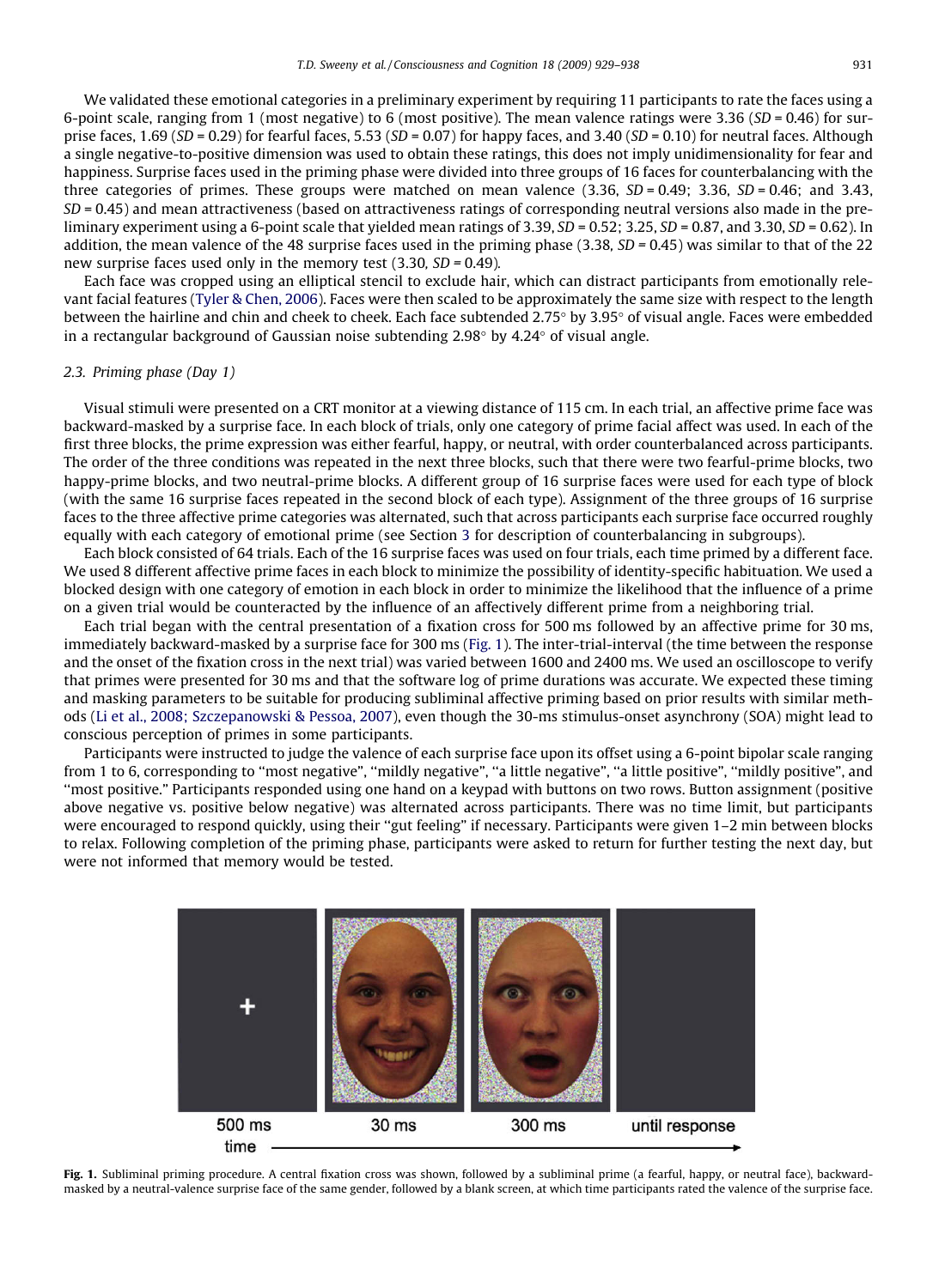We validated these emotional categories in a preliminary experiment by requiring 11 participants to rate the faces using a 6-point scale, ranging from 1 (most negative) to 6 (most positive). The mean valence ratings were  $3.36$  (SD = 0.46) for surprise faces, 1.69 (SD = 0.29) for fearful faces, 5.53 (SD = 0.07) for happy faces, and 3.40 (SD = 0.10) for neutral faces. Although a single negative-to-positive dimension was used to obtain these ratings, this does not imply unidimensionality for fear and happiness. Surprise faces used in the priming phase were divided into three groups of 16 faces for counterbalancing with the three categories of primes. These groups were matched on mean valence  $(3.36, SD = 0.49; 3.36, SD = 0.46;$  and 3.43,  $SD = 0.45$ ) and mean attractiveness (based on attractiveness ratings of corresponding neutral versions also made in the preliminary experiment using a 6-point scale that yielded mean ratings of 3.39,  $SD = 0.52$ ; 3.25,  $SD = 0.87$ , and 3.30,  $SD = 0.62$ ). In addition, the mean valence of the 48 surprise faces used in the priming phase (3.38,  $SD = 0.45$ ) was similar to that of the 22 new surprise faces used only in the memory test  $(3.30, SD = 0.49)$ .

Each face was cropped using an elliptical stencil to exclude hair, which can distract participants from emotionally relevant facial features ([Tyler & Chen, 2006](#page-9-0)). Faces were then scaled to be approximately the same size with respect to the length between the hairline and chin and cheek to cheek. Each face subtended 2.75° by 3.95° of visual angle. Faces were embedded in a rectangular background of Gaussian noise subtending  $2.98^{\circ}$  by  $4.24^{\circ}$  of visual angle.

#### 2.3. Priming phase (Day 1)

Visual stimuli were presented on a CRT monitor at a viewing distance of 115 cm. In each trial, an affective prime face was backward-masked by a surprise face. In each block of trials, only one category of prime facial affect was used. In each of the first three blocks, the prime expression was either fearful, happy, or neutral, with order counterbalanced across participants. The order of the three conditions was repeated in the next three blocks, such that there were two fearful-prime blocks, two happy-prime blocks, and two neutral-prime blocks. A different group of 16 surprise faces were used for each type of block (with the same 16 surprise faces repeated in the second block of each type). Assignment of the three groups of 16 surprise faces to the three affective prime categories was alternated, such that across participants each surprise face occurred roughly equally with each category of emotional prime (see Section 3 for description of counterbalancing in subgroups).

Each block consisted of 64 trials. Each of the 16 surprise faces was used on four trials, each time primed by a different face. We used 8 different affective prime faces in each block to minimize the possibility of identity-specific habituation. We used a blocked design with one category of emotion in each block in order to minimize the likelihood that the influence of a prime on a given trial would be counteracted by the influence of an affectively different prime from a neighboring trial.

Each trial began with the central presentation of a fixation cross for 500 ms followed by an affective prime for 30 ms, immediately backward-masked by a surprise face for 300 ms (Fig. 1). The inter-trial-interval (the time between the response and the onset of the fixation cross in the next trial) was varied between 1600 and 2400 ms. We used an oscilloscope to verify that primes were presented for 30 ms and that the software log of prime durations was accurate. We expected these timing and masking parameters to be suitable for producing subliminal affective priming based on prior results with similar methods [\(Li et al., 2008; Szczepanowski & Pessoa, 2007](#page-9-0)), even though the 30-ms stimulus-onset asynchrony (SOA) might lead to conscious perception of primes in some participants.

Participants were instructed to judge the valence of each surprise face upon its offset using a 6-point bipolar scale ranging from 1 to 6, corresponding to "most negative", "mildly negative", "a little negative", "a little positive", "mildly positive", and ''most positive." Participants responded using one hand on a keypad with buttons on two rows. Button assignment (positive above negative vs. positive below negative) was alternated across participants. There was no time limit, but participants were encouraged to respond quickly, using their "gut feeling" if necessary. Participants were given 1-2 min between blocks to relax. Following completion of the priming phase, participants were asked to return for further testing the next day, but were not informed that memory would be tested.



Fig. 1. Subliminal priming procedure. A central fixation cross was shown, followed by a subliminal prime (a fearful, happy, or neutral face), backwardmasked by a neutral-valence surprise face of the same gender, followed by a blank screen, at which time participants rated the valence of the surprise face.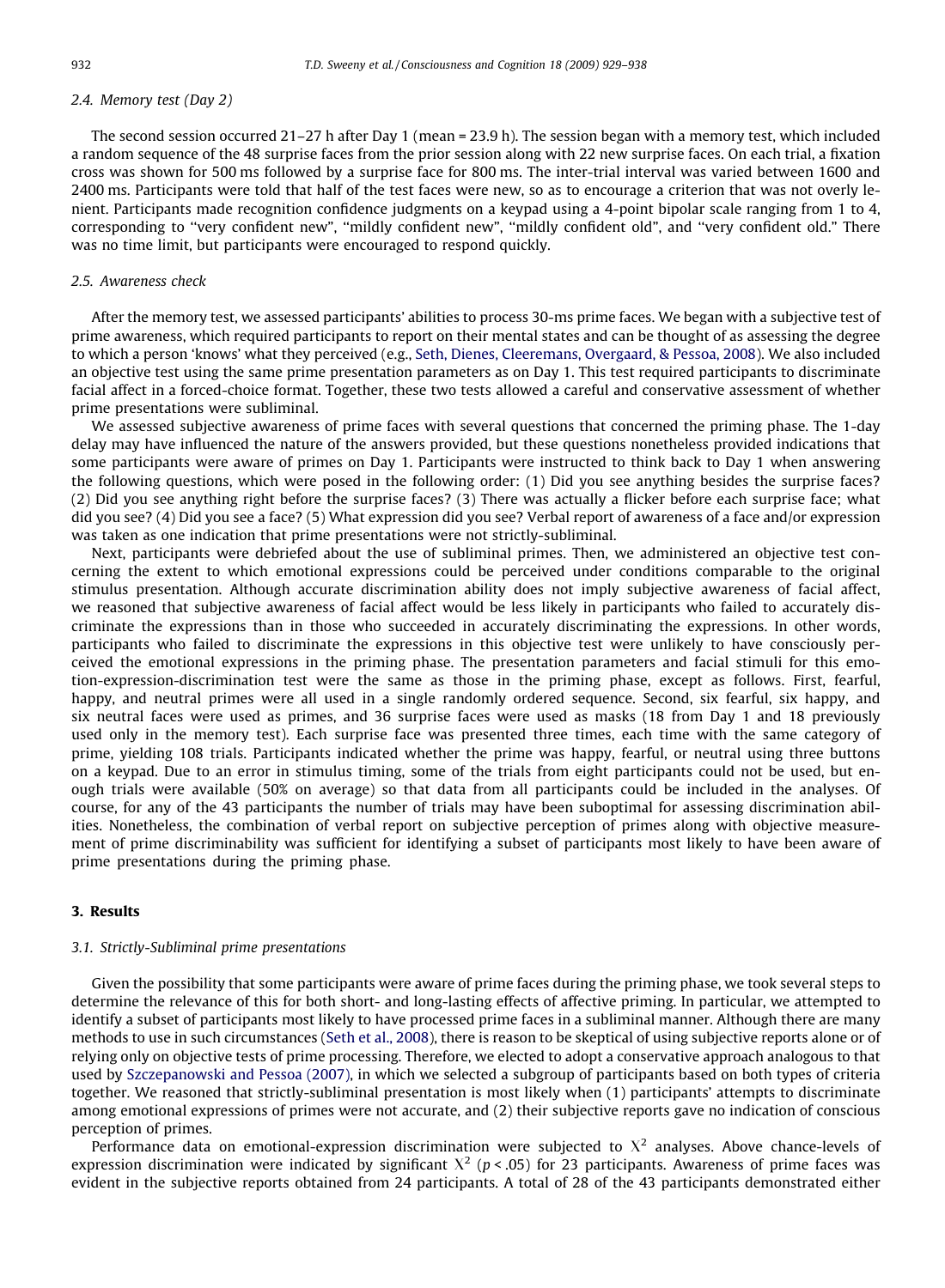## 2.4. Memory test (Day 2)

The second session occurred 21–27 h after Day 1 (mean = 23.9 h). The session began with a memory test, which included a random sequence of the 48 surprise faces from the prior session along with 22 new surprise faces. On each trial, a fixation cross was shown for 500 ms followed by a surprise face for 800 ms. The inter-trial interval was varied between 1600 and 2400 ms. Participants were told that half of the test faces were new, so as to encourage a criterion that was not overly lenient. Participants made recognition confidence judgments on a keypad using a 4-point bipolar scale ranging from 1 to 4, corresponding to ''very confident new", ''mildly confident new", ''mildly confident old", and ''very confident old." There was no time limit, but participants were encouraged to respond quickly.

#### 2.5. Awareness check

After the memory test, we assessed participants' abilities to process 30-ms prime faces. We began with a subjective test of prime awareness, which required participants to report on their mental states and can be thought of as assessing the degree to which a person 'knows' what they perceived (e.g., [Seth, Dienes, Cleeremans, Overgaard, & Pessoa, 2008\)](#page-9-0). We also included an objective test using the same prime presentation parameters as on Day 1. This test required participants to discriminate facial affect in a forced-choice format. Together, these two tests allowed a careful and conservative assessment of whether prime presentations were subliminal.

We assessed subjective awareness of prime faces with several questions that concerned the priming phase. The 1-day delay may have influenced the nature of the answers provided, but these questions nonetheless provided indications that some participants were aware of primes on Day 1. Participants were instructed to think back to Day 1 when answering the following questions, which were posed in the following order: (1) Did you see anything besides the surprise faces? (2) Did you see anything right before the surprise faces? (3) There was actually a flicker before each surprise face; what did you see? (4) Did you see a face? (5) What expression did you see? Verbal report of awareness of a face and/or expression was taken as one indication that prime presentations were not strictly-subliminal.

Next, participants were debriefed about the use of subliminal primes. Then, we administered an objective test concerning the extent to which emotional expressions could be perceived under conditions comparable to the original stimulus presentation. Although accurate discrimination ability does not imply subjective awareness of facial affect, we reasoned that subjective awareness of facial affect would be less likely in participants who failed to accurately discriminate the expressions than in those who succeeded in accurately discriminating the expressions. In other words, participants who failed to discriminate the expressions in this objective test were unlikely to have consciously perceived the emotional expressions in the priming phase. The presentation parameters and facial stimuli for this emotion-expression-discrimination test were the same as those in the priming phase, except as follows. First, fearful, happy, and neutral primes were all used in a single randomly ordered sequence. Second, six fearful, six happy, and six neutral faces were used as primes, and 36 surprise faces were used as masks (18 from Day 1 and 18 previously used only in the memory test). Each surprise face was presented three times, each time with the same category of prime, yielding 108 trials. Participants indicated whether the prime was happy, fearful, or neutral using three buttons on a keypad. Due to an error in stimulus timing, some of the trials from eight participants could not be used, but enough trials were available (50% on average) so that data from all participants could be included in the analyses. Of course, for any of the 43 participants the number of trials may have been suboptimal for assessing discrimination abilities. Nonetheless, the combination of verbal report on subjective perception of primes along with objective measurement of prime discriminability was sufficient for identifying a subset of participants most likely to have been aware of prime presentations during the priming phase.

# 3. Results

#### 3.1. Strictly-Subliminal prime presentations

Given the possibility that some participants were aware of prime faces during the priming phase, we took several steps to determine the relevance of this for both short- and long-lasting effects of affective priming. In particular, we attempted to identify a subset of participants most likely to have processed prime faces in a subliminal manner. Although there are many methods to use in such circumstances [\(Seth et al., 2008](#page-9-0)), there is reason to be skeptical of using subjective reports alone or of relying only on objective tests of prime processing. Therefore, we elected to adopt a conservative approach analogous to that used by [Szczepanowski and Pessoa \(2007\),](#page-9-0) in which we selected a subgroup of participants based on both types of criteria together. We reasoned that strictly-subliminal presentation is most likely when (1) participants' attempts to discriminate among emotional expressions of primes were not accurate, and (2) their subjective reports gave no indication of conscious perception of primes.

Performance data on emotional-expression discrimination were subjected to  $X^2$  analyses. Above chance-levels of expression discrimination were indicated by significant  $X^2$  (p < .05) for 23 participants. Awareness of prime faces was evident in the subjective reports obtained from 24 participants. A total of 28 of the 43 participants demonstrated either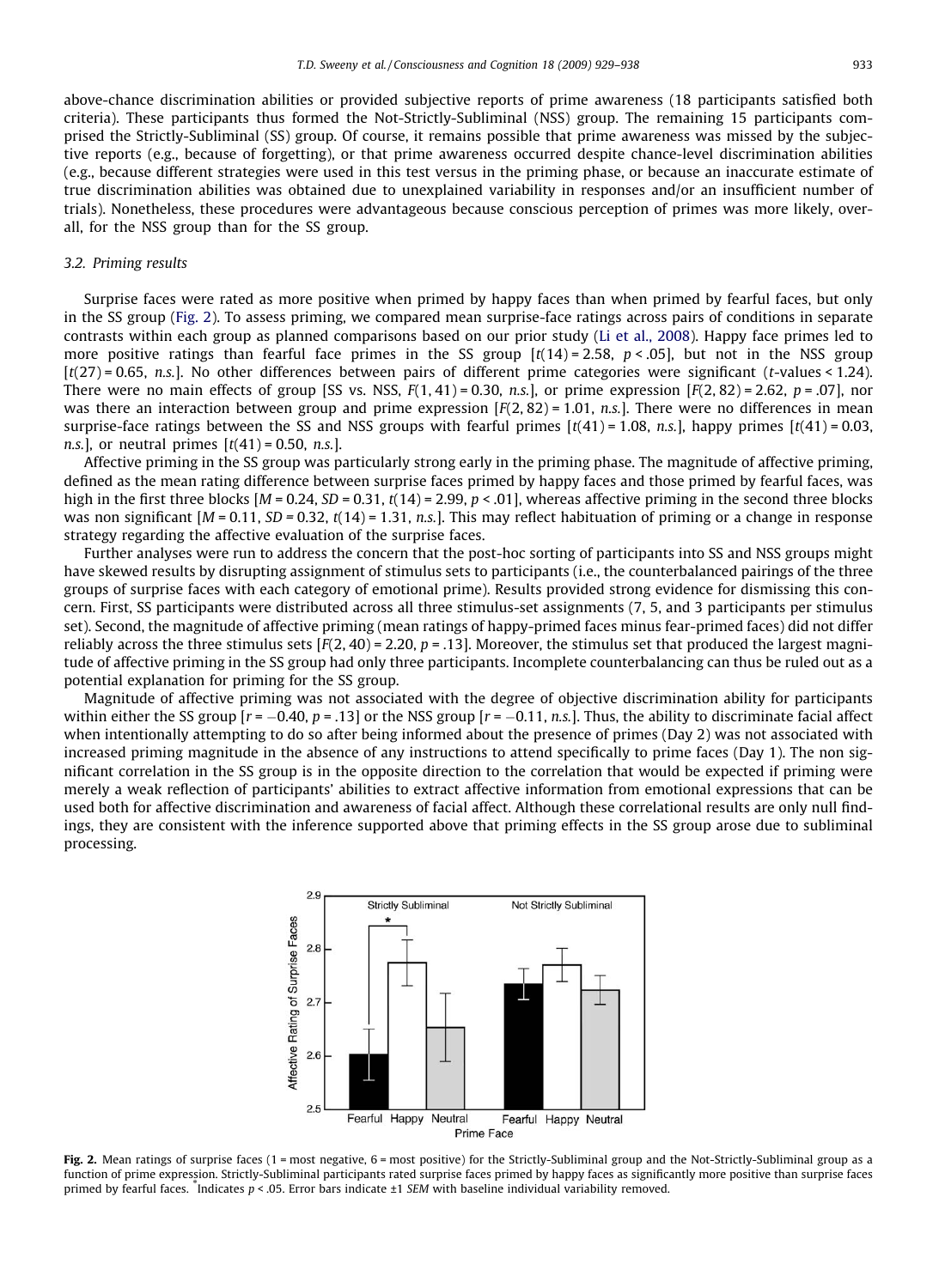above-chance discrimination abilities or provided subjective reports of prime awareness (18 participants satisfied both criteria). These participants thus formed the Not-Strictly-Subliminal (NSS) group. The remaining 15 participants comprised the Strictly-Subliminal (SS) group. Of course, it remains possible that prime awareness was missed by the subjective reports (e.g., because of forgetting), or that prime awareness occurred despite chance-level discrimination abilities (e.g., because different strategies were used in this test versus in the priming phase, or because an inaccurate estimate of true discrimination abilities was obtained due to unexplained variability in responses and/or an insufficient number of trials). Nonetheless, these procedures were advantageous because conscious perception of primes was more likely, overall, for the NSS group than for the SS group.

#### 3.2. Priming results

Surprise faces were rated as more positive when primed by happy faces than when primed by fearful faces, but only in the SS group (Fig. 2). To assess priming, we compared mean surprise-face ratings across pairs of conditions in separate contrasts within each group as planned comparisons based on our prior study [\(Li et al., 2008\)](#page-9-0). Happy face primes led to more positive ratings than fearful face primes in the SS group  $[t(14) = 2.58, p < .05]$ , but not in the NSS group  $[t(27) = 0.65, n.s.]$ . No other differences between pairs of different prime categories were significant (t-values < 1.24). There were no main effects of group [SS vs. NSS,  $F(1, 41) = 0.30$ , n.s.], or prime expression  $[F(2, 82) = 2.62, p = .07]$ , nor was there an interaction between group and prime expression  $[F(2, 82) = 1.01, n.s.]$ . There were no differences in mean surprise-face ratings between the SS and NSS groups with fearful primes  $[t(41) = 1.08, n.s.]$ , happy primes  $[t(41) = 0.03,$ *n.s.*], or neutral primes  $[t(41) = 0.50, n.s.]$ .

Affective priming in the SS group was particularly strong early in the priming phase. The magnitude of affective priming, defined as the mean rating difference between surprise faces primed by happy faces and those primed by fearful faces, was high in the first three blocks  $[M = 0.24, SD = 0.31, t(14) = 2.99, p < .01]$ , whereas affective priming in the second three blocks was non significant  $[M = 0.11, SD = 0.32, t(14) = 1.31, n.s.$ ]. This may reflect habituation of priming or a change in response strategy regarding the affective evaluation of the surprise faces.

Further analyses were run to address the concern that the post-hoc sorting of participants into SS and NSS groups might have skewed results by disrupting assignment of stimulus sets to participants (i.e., the counterbalanced pairings of the three groups of surprise faces with each category of emotional prime). Results provided strong evidence for dismissing this concern. First, SS participants were distributed across all three stimulus-set assignments (7, 5, and 3 participants per stimulus set). Second, the magnitude of affective priming (mean ratings of happy-primed faces minus fear-primed faces) did not differ reliably across the three stimulus sets  $[F(2, 40) = 2.20, p = .13]$ . Moreover, the stimulus set that produced the largest magnitude of affective priming in the SS group had only three participants. Incomplete counterbalancing can thus be ruled out as a potential explanation for priming for the SS group.

Magnitude of affective priming was not associated with the degree of objective discrimination ability for participants within either the SS group [r =  $-0.40$ , p = .13] or the NSS group [r =  $-0.11$ , n.s.]. Thus, the ability to discriminate facial affect when intentionally attempting to do so after being informed about the presence of primes (Day 2) was not associated with increased priming magnitude in the absence of any instructions to attend specifically to prime faces (Day 1). The non significant correlation in the SS group is in the opposite direction to the correlation that would be expected if priming were merely a weak reflection of participants' abilities to extract affective information from emotional expressions that can be used both for affective discrimination and awareness of facial affect. Although these correlational results are only null findings, they are consistent with the inference supported above that priming effects in the SS group arose due to subliminal processing.



Fig. 2. Mean ratings of surprise faces (1 = most negative,  $6$  = most positive) for the Strictly-Subliminal group and the Not-Strictly-Subliminal group as a function of prime expression. Strictly-Subliminal participants rated surprise faces primed by happy faces as significantly more positive than surprise faces primed by fearful faces. Indicates  $p < 0.05$ . Error bars indicate ±1 SEM with baseline individual variability removed.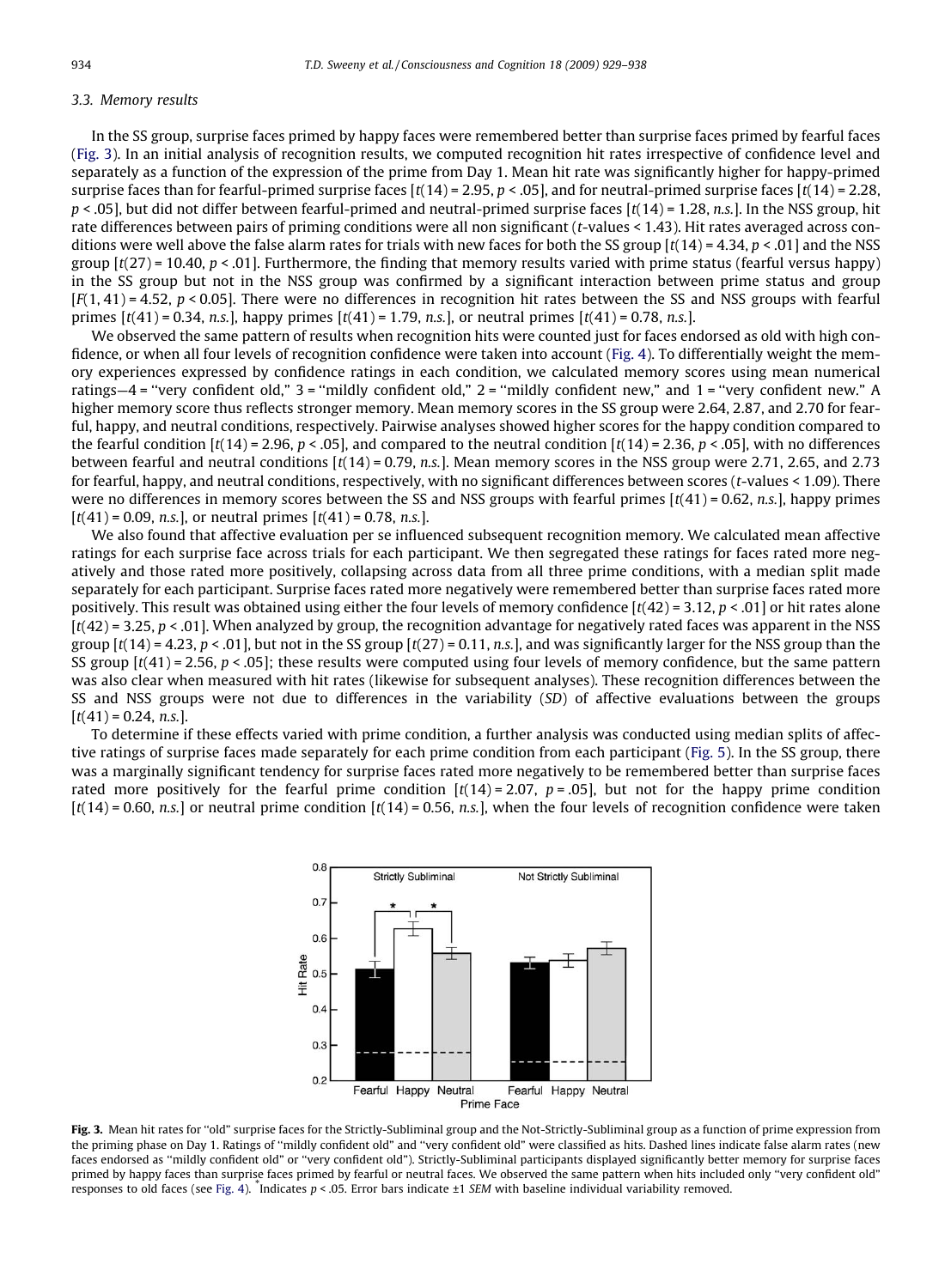# <span id="page-5-0"></span>3.3. Memory results

In the SS group, surprise faces primed by happy faces were remembered better than surprise faces primed by fearful faces (Fig. 3). In an initial analysis of recognition results, we computed recognition hit rates irrespective of confidence level and separately as a function of the expression of the prime from Day 1. Mean hit rate was significantly higher for happy-primed surprise faces than for fearful-primed surprise faces  $[t(14) = 2.95, p < .05]$ , and for neutral-primed surprise faces  $[t(14) = 2.28$ ,  $p < .05$ ], but did not differ between fearful-primed and neutral-primed surprise faces [t(14) = 1.28, n.s.]. In the NSS group, hit rate differences between pairs of priming conditions were all non significant (t-values < 1.43). Hit rates averaged across conditions were well above the false alarm rates for trials with new faces for both the SS group  $[t(14) = 4.34, p < .01]$  and the NSS group  $[t(27) = 10.40, p < .01]$ . Furthermore, the finding that memory results varied with prime status (fearful versus happy) in the SS group but not in the NSS group was confirmed by a significant interaction between prime status and group  $[F(1, 41) = 4.52, p < 0.05]$ . There were no differences in recognition hit rates between the SS and NSS groups with fearful primes  $[t(41) = 0.34, n.s.]$ , happy primes  $[t(41) = 1.79, n.s.]$ , or neutral primes  $[t(41) = 0.78, n.s.]$ .

We observed the same pattern of results when recognition hits were counted just for faces endorsed as old with high confidence, or when all four levels of recognition confidence were taken into account ([Fig. 4\)](#page-6-0). To differentially weight the memory experiences expressed by confidence ratings in each condition, we calculated memory scores using mean numerical ratings—4 = ''very confident old," 3 = ''mildly confident old," 2 = ''mildly confident new," and 1 = ''very confident new." A higher memory score thus reflects stronger memory. Mean memory scores in the SS group were 2.64, 2.87, and 2.70 for fearful, happy, and neutral conditions, respectively. Pairwise analyses showed higher scores for the happy condition compared to the fearful condition  $[t(14) = 2.96, p < .05]$ , and compared to the neutral condition  $[t(14) = 2.36, p < .05]$ , with no differences between fearful and neutral conditions  $[t(14) = 0.79, n.s.]$ . Mean memory scores in the NSS group were 2.71, 2.65, and 2.73 for fearful, happy, and neutral conditions, respectively, with no significant differences between scores (t-values < 1.09). There were no differences in memory scores between the SS and NSS groups with fearful primes  $[t(41) = 0.62, n.s.]$ , happy primes  $[t(41) = 0.09, n.s.]$ , or neutral primes  $[t(41) = 0.78, n.s.]$ .

We also found that affective evaluation per se influenced subsequent recognition memory. We calculated mean affective ratings for each surprise face across trials for each participant. We then segregated these ratings for faces rated more negatively and those rated more positively, collapsing across data from all three prime conditions, with a median split made separately for each participant. Surprise faces rated more negatively were remembered better than surprise faces rated more positively. This result was obtained using either the four levels of memory confidence  $[t(42) = 3.12, p < .01]$  or hit rates alone  $[t(42) = 3.25, p < .01]$ . When analyzed by group, the recognition advantage for negatively rated faces was apparent in the NSS group  $[t(14) = 4.23, p < .01]$ , but not in the SS group  $[t(27) = 0.11, n.s.]$ , and was significantly larger for the NSS group than the SS group  $[t(41) = 2.56, p < .05]$ ; these results were computed using four levels of memory confidence, but the same pattern was also clear when measured with hit rates (likewise for subsequent analyses). These recognition differences between the SS and NSS groups were not due to differences in the variability (SD) of affective evaluations between the groups  $[t(41) = 0.24, n.s.]$ .

To determine if these effects varied with prime condition, a further analysis was conducted using median splits of affective ratings of surprise faces made separately for each prime condition from each participant [\(Fig. 5](#page-7-0)). In the SS group, there was a marginally significant tendency for surprise faces rated more negatively to be remembered better than surprise faces rated more positively for the fearful prime condition  $[t(14) = 2.07, p = .05]$ , but not for the happy prime condition  $[t(14) = 0.60, n.s.]$  or neutral prime condition  $[t(14) = 0.56, n.s.]$ , when the four levels of recognition confidence were taken



Fig. 3. Mean hit rates for "old" surprise faces for the Strictly-Subliminal group and the Not-Strictly-Subliminal group as a function of prime expression from the priming phase on Day 1. Ratings of ''mildly confident old" and ''very confident old" were classified as hits. Dashed lines indicate false alarm rates (new faces endorsed as ''mildly confident old" or ''very confident old"). Strictly-Subliminal participants displayed significantly better memory for surprise faces primed by happy faces than surprise faces primed by fearful or neutral faces. We observed the same pattern when hits included only ''very confident old" responses to old faces (see [Fig. 4\)](#page-6-0). \* Indicates p < .05. Error bars indicate ±1 SEM with baseline individual variability removed.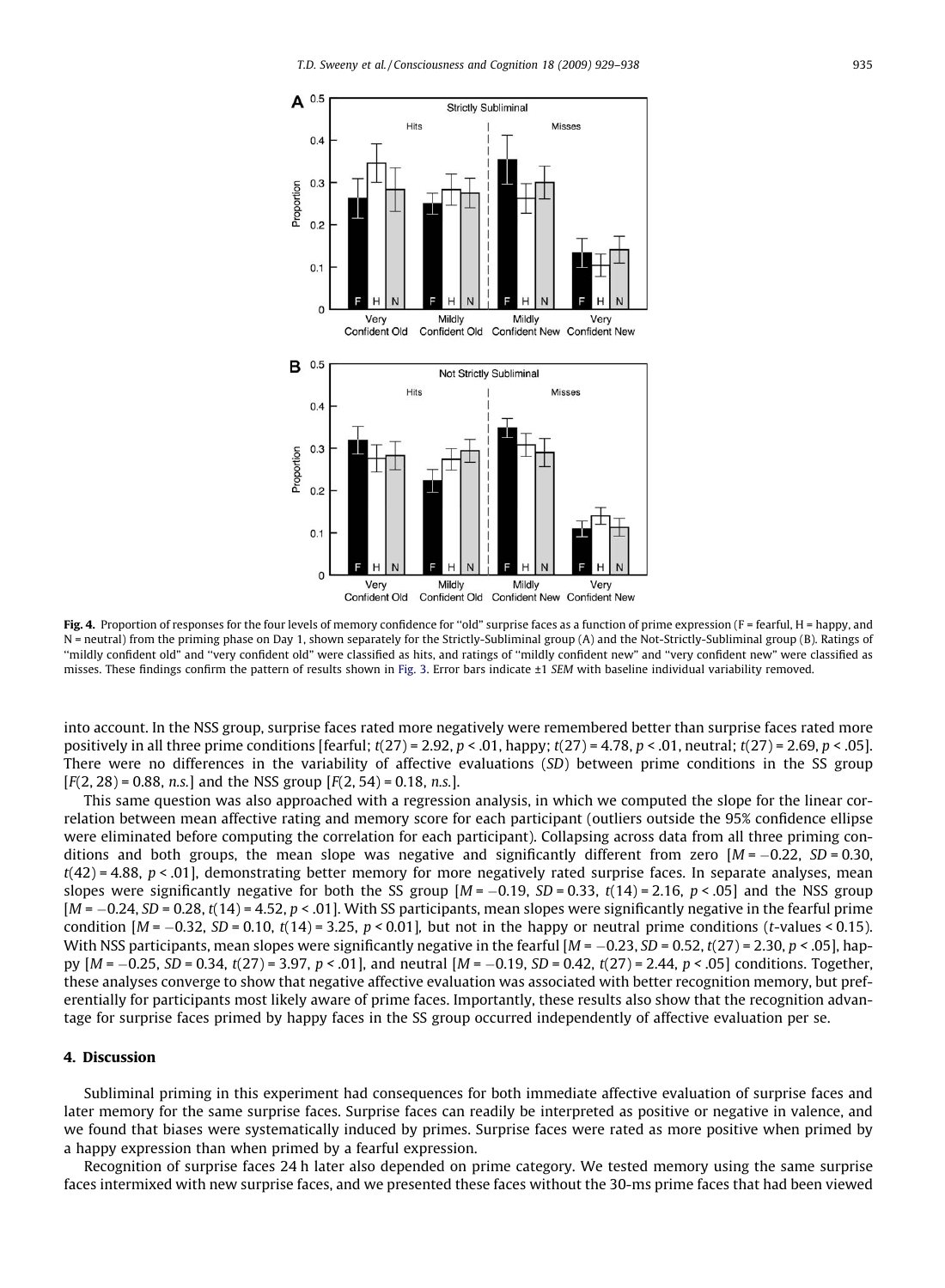<span id="page-6-0"></span>

Fig. 4. Proportion of responses for the four levels of memory confidence for "old" surprise faces as a function of prime expression (F = fearful, H = happy, and N = neutral) from the priming phase on Day 1, shown separately for the Strictly-Subliminal group (A) and the Not-Strictly-Subliminal group (B). Ratings of ''mildly confident old" and ''very confident old" were classified as hits, and ratings of ''mildly confident new" and ''very confident new" were classified as misses. These findings confirm the pattern of results shown in [Fig. 3.](#page-5-0) Error bars indicate ±1 SEM with baseline individual variability removed.

into account. In the NSS group, surprise faces rated more negatively were remembered better than surprise faces rated more positively in all three prime conditions [fearful;  $t(27) = 2.92$ ,  $p < .01$ , happy;  $t(27) = 4.78$ ,  $p < .01$ , neutral;  $t(27) = 2.69$ ,  $p < .05$ ]. There were no differences in the variability of affective evaluations (SD) between prime conditions in the SS group  $[F(2, 28) = 0.88, n.s.]$  and the NSS group  $[F(2, 54) = 0.18, n.s.]$ .

This same question was also approached with a regression analysis, in which we computed the slope for the linear correlation between mean affective rating and memory score for each participant (outliers outside the 95% confidence ellipse were eliminated before computing the correlation for each participant). Collapsing across data from all three priming conditions and both groups, the mean slope was negative and significantly different from zero  $[M = -0.22, SD = 0.30,$  $t(42) = 4.88$ ,  $p < .01$ ], demonstrating better memory for more negatively rated surprise faces. In separate analyses, mean slopes were significantly negative for both the SS group  $[M = -0.19, SD = 0.33, t(14) = 2.16, p < .05]$  and the NSS group [M = -0.24, SD = 0.28, t(14) = 4.52, p < .01]. With SS participants, mean slopes were significantly negative in the fearful prime condition  $[M = -0.32, SD = 0.10, t(14) = 3.25, p < 0.01]$ , but not in the happy or neutral prime conditions (t-values < 0.15). With NSS participants, mean slopes were significantly negative in the fearful [M =  $-0.23,$  SD = 0.52, t(27) = 2.30, p < .05], happy  $[M = -0.25, SD = 0.34, t(27) = 3.97, p < .01]$ , and neutral  $[M = -0.19, SD = 0.42, t(27) = 2.44, p < .05]$  conditions. Together, these analyses converge to show that negative affective evaluation was associated with better recognition memory, but preferentially for participants most likely aware of prime faces. Importantly, these results also show that the recognition advantage for surprise faces primed by happy faces in the SS group occurred independently of affective evaluation per se.

#### 4. Discussion

Subliminal priming in this experiment had consequences for both immediate affective evaluation of surprise faces and later memory for the same surprise faces. Surprise faces can readily be interpreted as positive or negative in valence, and we found that biases were systematically induced by primes. Surprise faces were rated as more positive when primed by a happy expression than when primed by a fearful expression.

Recognition of surprise faces 24 h later also depended on prime category. We tested memory using the same surprise faces intermixed with new surprise faces, and we presented these faces without the 30-ms prime faces that had been viewed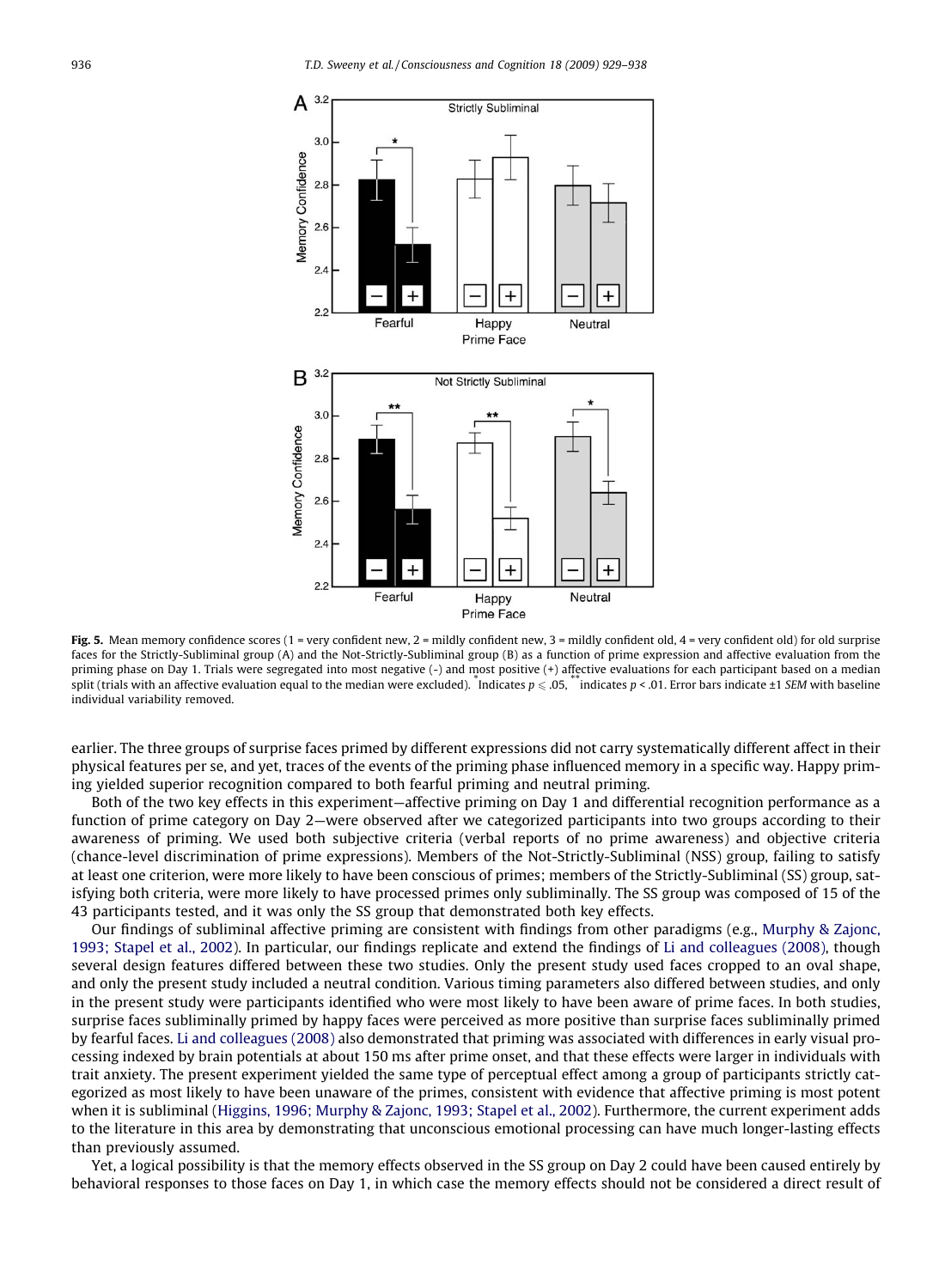<span id="page-7-0"></span>

Fig. 5. Mean memory confidence scores (1 = very confident new, 2 = mildly confident new, 3 = mildly confident old, 4 = very confident old) for old surprise faces for the Strictly-Subliminal group (A) and the Not-Strictly-Subliminal group (B) as a function of prime expression and affective evaluation from the priming phase on Day 1. Trials were segregated into most negative (-) and most positive (+) affective evaluations for each participant based on a median split (trials with an affective evaluation equal to the median were excluded). "Indicates  $p\leqslant05$ , ""indicates  $p<.01$ . Error bars indicate ±1 SEM with baseline individual variability removed.

earlier. The three groups of surprise faces primed by different expressions did not carry systematically different affect in their physical features per se, and yet, traces of the events of the priming phase influenced memory in a specific way. Happy priming yielded superior recognition compared to both fearful priming and neutral priming.

Both of the two key effects in this experiment—affective priming on Day 1 and differential recognition performance as a function of prime category on Day 2—were observed after we categorized participants into two groups according to their awareness of priming. We used both subjective criteria (verbal reports of no prime awareness) and objective criteria (chance-level discrimination of prime expressions). Members of the Not-Strictly-Subliminal (NSS) group, failing to satisfy at least one criterion, were more likely to have been conscious of primes; members of the Strictly-Subliminal (SS) group, satisfying both criteria, were more likely to have processed primes only subliminally. The SS group was composed of 15 of the 43 participants tested, and it was only the SS group that demonstrated both key effects.

Our findings of subliminal affective priming are consistent with findings from other paradigms (e.g., [Murphy & Zajonc,](#page-9-0) [1993; Stapel et al., 2002](#page-9-0)). In particular, our findings replicate and extend the findings of [Li and colleagues \(2008\),](#page-9-0) though several design features differed between these two studies. Only the present study used faces cropped to an oval shape, and only the present study included a neutral condition. Various timing parameters also differed between studies, and only in the present study were participants identified who were most likely to have been aware of prime faces. In both studies, surprise faces subliminally primed by happy faces were perceived as more positive than surprise faces subliminally primed by fearful faces. [Li and colleagues \(2008\)](#page-9-0) also demonstrated that priming was associated with differences in early visual processing indexed by brain potentials at about 150 ms after prime onset, and that these effects were larger in individuals with trait anxiety. The present experiment yielded the same type of perceptual effect among a group of participants strictly categorized as most likely to have been unaware of the primes, consistent with evidence that affective priming is most potent when it is subliminal [\(Higgins, 1996; Murphy & Zajonc, 1993; Stapel et al., 2002](#page-9-0)). Furthermore, the current experiment adds to the literature in this area by demonstrating that unconscious emotional processing can have much longer-lasting effects than previously assumed.

Yet, a logical possibility is that the memory effects observed in the SS group on Day 2 could have been caused entirely by behavioral responses to those faces on Day 1, in which case the memory effects should not be considered a direct result of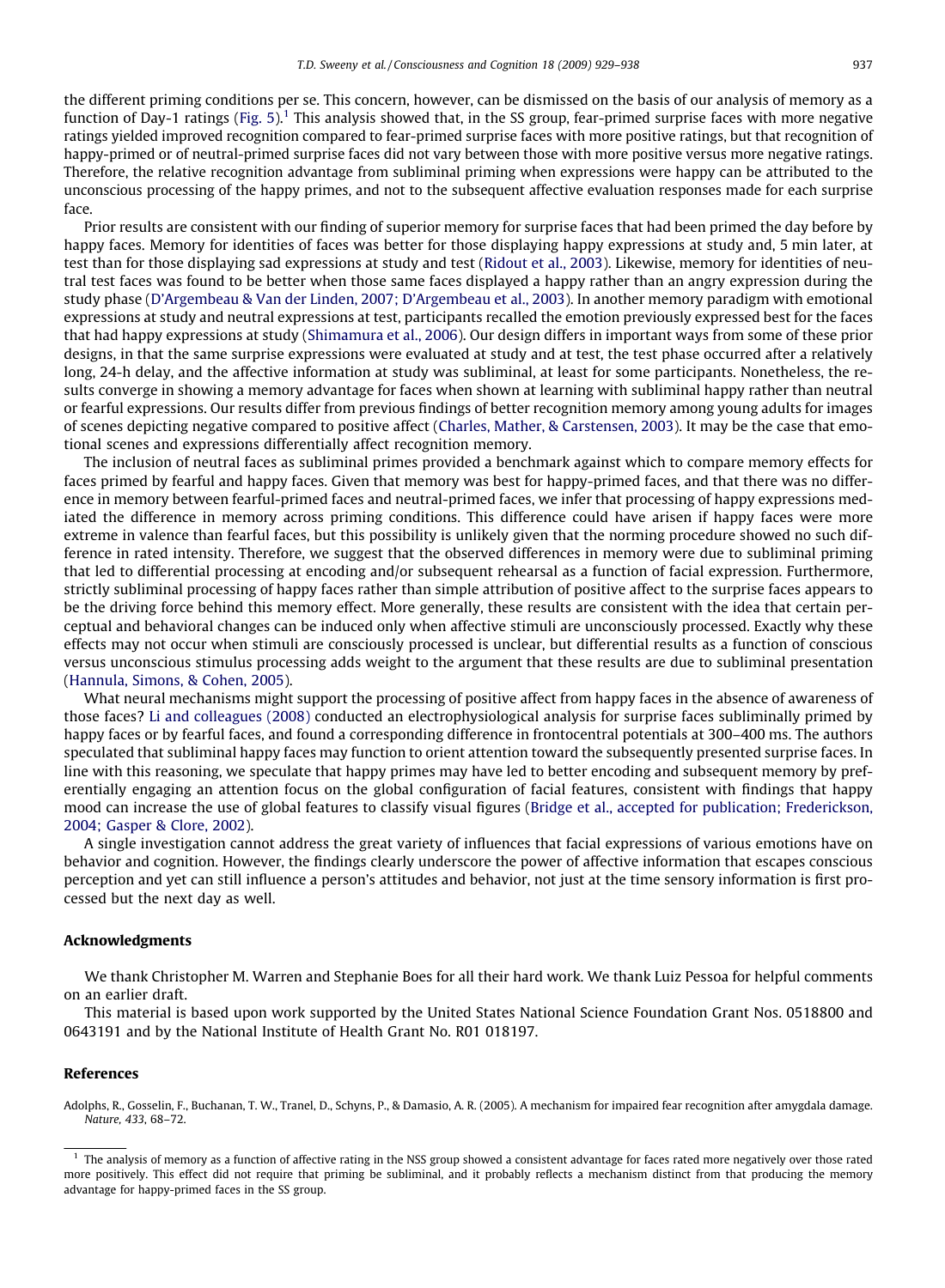<span id="page-8-0"></span>the different priming conditions per se. This concern, however, can be dismissed on the basis of our analysis of memory as a function of Day-1 ratings [\(Fig. 5](#page-7-0)).<sup>1</sup> This analysis showed that, in the SS group, fear-primed surprise faces with more negative ratings yielded improved recognition compared to fear-primed surprise faces with more positive ratings, but that recognition of happy-primed or of neutral-primed surprise faces did not vary between those with more positive versus more negative ratings. Therefore, the relative recognition advantage from subliminal priming when expressions were happy can be attributed to the unconscious processing of the happy primes, and not to the subsequent affective evaluation responses made for each surprise face.

Prior results are consistent with our finding of superior memory for surprise faces that had been primed the day before by happy faces. Memory for identities of faces was better for those displaying happy expressions at study and, 5 min later, at test than for those displaying sad expressions at study and test [\(Ridout et al., 2003\)](#page-9-0). Likewise, memory for identities of neutral test faces was found to be better when those same faces displayed a happy rather than an angry expression during the study phase ([D'Argembeau & Van der Linden, 2007; D'Argembeau et al., 2003\)](#page-9-0). In another memory paradigm with emotional expressions at study and neutral expressions at test, participants recalled the emotion previously expressed best for the faces that had happy expressions at study [\(Shimamura et al., 2006\)](#page-9-0). Our design differs in important ways from some of these prior designs, in that the same surprise expressions were evaluated at study and at test, the test phase occurred after a relatively long, 24-h delay, and the affective information at study was subliminal, at least for some participants. Nonetheless, the results converge in showing a memory advantage for faces when shown at learning with subliminal happy rather than neutral or fearful expressions. Our results differ from previous findings of better recognition memory among young adults for images of scenes depicting negative compared to positive affect ([Charles, Mather, & Carstensen, 2003](#page-9-0)). It may be the case that emotional scenes and expressions differentially affect recognition memory.

The inclusion of neutral faces as subliminal primes provided a benchmark against which to compare memory effects for faces primed by fearful and happy faces. Given that memory was best for happy-primed faces, and that there was no difference in memory between fearful-primed faces and neutral-primed faces, we infer that processing of happy expressions mediated the difference in memory across priming conditions. This difference could have arisen if happy faces were more extreme in valence than fearful faces, but this possibility is unlikely given that the norming procedure showed no such difference in rated intensity. Therefore, we suggest that the observed differences in memory were due to subliminal priming that led to differential processing at encoding and/or subsequent rehearsal as a function of facial expression. Furthermore, strictly subliminal processing of happy faces rather than simple attribution of positive affect to the surprise faces appears to be the driving force behind this memory effect. More generally, these results are consistent with the idea that certain perceptual and behavioral changes can be induced only when affective stimuli are unconsciously processed. Exactly why these effects may not occur when stimuli are consciously processed is unclear, but differential results as a function of conscious versus unconscious stimulus processing adds weight to the argument that these results are due to subliminal presentation ([Hannula, Simons, & Cohen, 2005\)](#page-9-0).

What neural mechanisms might support the processing of positive affect from happy faces in the absence of awareness of those faces? [Li and colleagues \(2008\)](#page-9-0) conducted an electrophysiological analysis for surprise faces subliminally primed by happy faces or by fearful faces, and found a corresponding difference in frontocentral potentials at 300–400 ms. The authors speculated that subliminal happy faces may function to orient attention toward the subsequently presented surprise faces. In line with this reasoning, we speculate that happy primes may have led to better encoding and subsequent memory by preferentially engaging an attention focus on the global configuration of facial features, consistent with findings that happy mood can increase the use of global features to classify visual figures ([Bridge et al., accepted for publication; Frederickson,](#page-9-0) [2004; Gasper & Clore, 2002](#page-9-0)).

A single investigation cannot address the great variety of influences that facial expressions of various emotions have on behavior and cognition. However, the findings clearly underscore the power of affective information that escapes conscious perception and yet can still influence a person's attitudes and behavior, not just at the time sensory information is first processed but the next day as well.

#### Acknowledgments

We thank Christopher M. Warren and Stephanie Boes for all their hard work. We thank Luiz Pessoa for helpful comments on an earlier draft.

This material is based upon work supported by the United States National Science Foundation Grant Nos. 0518800 and 0643191 and by the National Institute of Health Grant No. R01 018197.

#### References

Adolphs, R., Gosselin, F., Buchanan, T. W., Tranel, D., Schyns, P., & Damasio, A. R. (2005). A mechanism for impaired fear recognition after amygdala damage. Nature, 433, 68–72.

 $<sup>1</sup>$  The analysis of memory as a function of affective rating in the NSS group showed a consistent advantage for faces rated more negatively over those rated</sup> more positively. This effect did not require that priming be subliminal, and it probably reflects a mechanism distinct from that producing the memory advantage for happy-primed faces in the SS group.